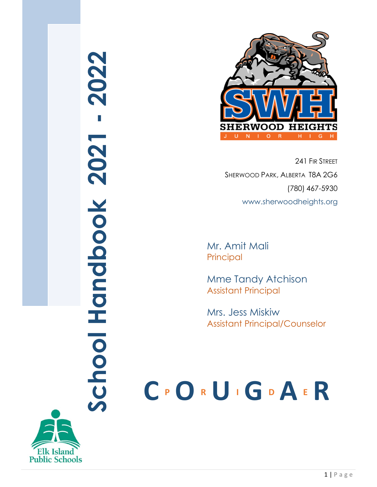# **School Handbook 20 2 1 20 2 2**



241 FIR STREET SHERWOOD PARK, ALBERTA T8A 2G6 (780) 467-5930 www.sherwoodheights.org

Mr. Amit Mali Principal

Mme Tandy Atchison Assistant Principal

Mrs. Jess Miskiw Assistant Principal/Counselor

# **C <sup>P</sup> O <sup>R</sup> U <sup>I</sup> G <sup>D</sup> A <sup>E</sup> R**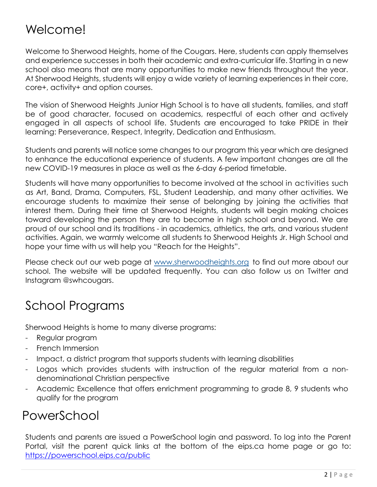# Welcome!

Welcome to Sherwood Heights, home of the Cougars. Here, students can apply themselves and experience successes in both their academic and extra-curricular life. Starting in a new school also means that are many opportunities to make new friends throughout the year. At Sherwood Heights, students will enjoy a wide variety of learning experiences in their core, core+, activity+ and option courses.

The vision of Sherwood Heights Junior High School is to have all students, families, and staff be of good character, focused on academics, respectful of each other and actively engaged in all aspects of school life. Students are encouraged to take PRIDE in their learning: Perseverance, Respect, Integrity, Dedication and Enthusiasm.

Students and parents will notice some changes to our program this year which are designed to enhance the educational experience of students. A few important changes are all the new COVID-19 measures in place as well as the 6-day 6-period timetable.

Students will have many opportunities to become involved at the school in activities such as Art, Band, Drama, Computers, FSL, Student Leadership, and many other activities. We encourage students to maximize their sense of belonging by joining the activities that interest them. During their time at Sherwood Heights, students will begin making choices toward developing the person they are to become in high school and beyond. We are proud of our school and its traditions - in academics, athletics, the arts, and various student activities. Again, we warmly welcome all students to Sherwood Heights Jr. High School and hope your time with us will help you "Reach for the Heights".

Please check out our web page at [www.sherwoodheights.org](http://www.sherwoodheights.org/) to find out more about our school. The website will be updated frequently. You can also follow us on Twitter and Instagram @swhcougars.

# School Programs

Sherwood Heights is home to many diverse programs:

- Regular program
- French Immersion
- Impact, a district program that supports students with learning disabilities
- Logos which provides students with instruction of the regular material from a nondenominational Christian perspective
- Academic Excellence that offers enrichment programming to grade 8, 9 students who qualify for the program

# PowerSchool

Students and parents are issued a PowerSchool login and password. To log into the Parent Portal, visit the parent quick links at the bottom of the eips.ca home page or go to: <https://powerschool.eips.ca/public>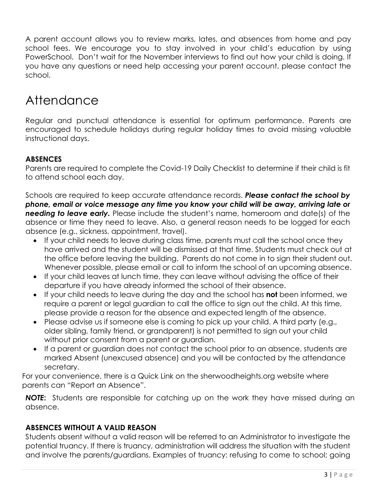A parent account allows you to review marks, lates, and absences from home and pay school fees. We encourage you to stay involved in your child's education by using PowerSchool. Don't wait for the November interviews to find out how your child is doing. If you have any questions or need help accessing your parent account, please contact the school.

# **Attendance**

Regular and punctual attendance is essential for optimum performance. Parents are encouraged to schedule holidays during regular holiday times to avoid missing valuable instructional days.

### **ABSENCES**

Parents are required to complete the Covid-19 Daily Checklist to determine if their child is fit to attend school each day.

Schools are required to keep accurate attendance records. *Please contact the school by phone, email or voice message any time you know your child will be away, arriving late or*  **needing to leave early.** Please include the student's name, homeroom and date(s) of the absence or time they need to leave. Also, a general reason needs to be logged for each absence (e.g., sickness, appointment, travel).

- If your child needs to leave during class time, parents must call the school once they have arrived and the student will be dismissed at that time. Students must check out at the office before leaving the building. Parents do not come in to sign their student out. Whenever possible, please email or call to inform the school of an upcoming absence.
- If your child leaves at lunch time, they can leave without advising the office of their departure if you have already informed the school of their absence.
- If your child needs to leave during the day and the school has **not** been informed, we require a parent or legal guardian to call the office to sign out the child. At this time, please provide a reason for the absence and expected length of the absence.
- Please advise us if someone else is coming to pick up your child. A third party (e.g., older sibling, family friend, or grandparent) is not permitted to sign out your child without prior consent from a parent or guardian.
- If a parent or guardian does not contact the school prior to an absence, students are marked Absent (unexcused absence) and you will be contacted by the attendance secretary.

For your convenience, there is a Quick Link on the sherwoodheights.org website where parents can "Report an Absence".

*NOTE***:** Students are responsible for catching up on the work they have missed during an absence.

### **ABSENCES WITHOUT A VALID REASON**

Students absent without a valid reason will be referred to an Administrator to investigate the potential truancy. If there is truancy, administration will address the situation with the student and involve the parents/guardians. Examples of truancy: refusing to come to school; going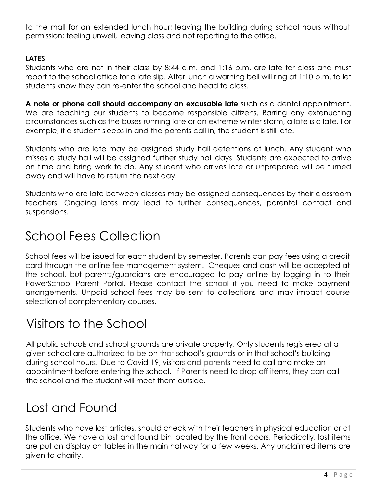to the mall for an extended lunch hour; leaving the building during school hours without permission; feeling unwell, leaving class and not reporting to the office.

### **LATES**

Students who are not in their class by 8:44 a.m. and 1:16 p.m. are late for class and must report to the school office for a late slip. After lunch a warning bell will ring at 1:10 p.m. to let students know they can re-enter the school and head to class.

**A note or phone call should accompany an excusable late** such as a dental appointment. We are teaching our students to become responsible citizens. Barring any extenuating circumstances such as the buses running late or an extreme winter storm, a late is a late. For example, if a student sleeps in and the parents call in, the student is still late.

Students who are late may be assigned study hall detentions at lunch. Any student who misses a study hall will be assigned further study hall days. Students are expected to arrive on time and bring work to do. Any student who arrives late or unprepared will be turned away and will have to return the next day.

Students who are late between classes may be assigned consequences by their classroom teachers. Ongoing lates may lead to further consequences, parental contact and suspensions.

# School Fees Collection

School fees will be issued for each student by semester. Parents can pay fees using a credit card through the online fee management system. Cheques and cash will be accepted at the school, but parents/guardians are encouraged to pay online by logging in to their PowerSchool Parent Portal. Please contact the school if you need to make payment arrangements. Unpaid school fees may be sent to collections and may impact course selection of complementary courses.

# Visitors to the School

All public schools and school grounds are private property. Only students registered at a given school are authorized to be on that school's grounds or in that school's building during school hours. Due to Covid-19, visitors and parents need to call and make an appointment before entering the school. If Parents need to drop off items, they can call the school and the student will meet them outside.

# Lost and Found

Students who have lost articles, should check with their teachers in physical education or at the office. We have a lost and found bin located by the front doors. Periodically, lost items are put on display on tables in the main hallway for a few weeks. Any unclaimed items are given to charity.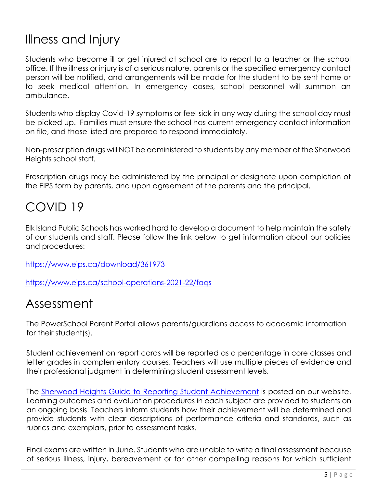# Illness and Injury

Students who become ill or get injured at school are to report to a teacher or the school office. If the illness or injury is of a serious nature, parents or the specified emergency contact person will be notified, and arrangements will be made for the student to be sent home or to seek medical attention. In emergency cases, school personnel will summon an ambulance.

Students who display Covid-19 symptoms or feel sick in any way during the school day must be picked up. Families must ensure the school has current emergency contact information on file, and those listed are prepared to respond immediately.

Non-prescription drugs will NOT be administered to students by any member of the Sherwood Heights school staff.

Prescription drugs may be administered by the principal or designate upon completion of the EIPS form by parents, and upon agreement of the parents and the principal.

# COVID 19

Elk Island Public Schools has worked hard to develop a document to help maintain the safety of our students and staff. Please follow the link below to get information about our policies and procedures:

<https://www.eips.ca/download/361973>

<https://www.eips.ca/school-operations-2021-22/faqs>

# Assessment

The PowerSchool Parent Portal allows parents/guardians access to academic information for their student(s).

Student achievement on report cards will be reported as a percentage in core classes and letter grades in complementary courses. Teachers will use multiple pieces of evidence and their professional judgment in determining student assessment levels.

The [Sherwood Heights Guide to Reporting Student Achievement](http://sherwoodheights.org/) is posted on our website. Learning outcomes and evaluation procedures in each subject are provided to students on an ongoing basis. Teachers inform students how their achievement will be determined and provide students with clear descriptions of performance criteria and standards, such as rubrics and exemplars, prior to assessment tasks.

Final exams are written in June. Students who are unable to write a final assessment because of serious illness, injury, bereavement or for other compelling reasons for which sufficient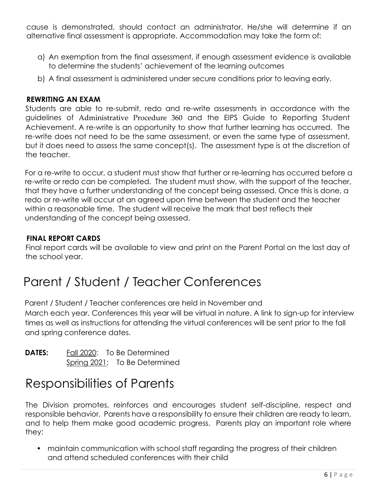cause is demonstrated, should contact an administrator. He/she will determine if an alternative final assessment is appropriate. Accommodation may take the form of:

- a) An exemption from the final assessment, if enough assessment evidence is available to determine the students' achievement of the learning outcomes
- b) A final assessment is administered under secure conditions prior to leaving early.

### **REWRITING AN EXAM**

Students are able to re-submit, redo and re-write assessments in accordance with the guidelines of [Administrative Procedure 360](https://www.eips.ca/about-us/administrative-procedures/360) and the EIPS Guide to Reporting Student Achievement. A re-write is an opportunity to show that further learning has occurred. The re-write does not need to be the same assessment, or even the same type of assessment, but it does need to assess the same concept(s). The assessment type is at the discretion of the teacher.

For a re-write to occur, a student must show that further or re-learning has occurred before a re-write or redo can be completed. The student must show, with the support of the teacher, that they have a further understanding of the concept being assessed. Once this is done, a redo or re-write will occur at an agreed upon time between the student and the teacher within a reasonable time. The student will receive the mark that best reflects their understanding of the concept being assessed.

### **FINAL REPORT CARDS**

Final report cards will be available to view and print on the Parent Portal on the last day of the school year.

# Parent / Student / Teacher Conferences

Parent / Student / Teacher conferences are held in November and March each year. Conferences this year will be virtual in nature. A link to sign-up for interview times as well as instructions for attending the virtual conferences will be sent prior to the fall and spring conference dates.

**DATES:** Fall 2020: To Be Determined Spring 2021: To Be Determined

# Responsibilities of Parents

The Division promotes, reinforces and encourages student self-discipline, respect and responsible behavior. Parents have a responsibility to ensure their children are ready to learn, and to help them make good academic progress. Parents play an important role where they:

• maintain communication with school staff regarding the progress of their children and attend scheduled conferences with their child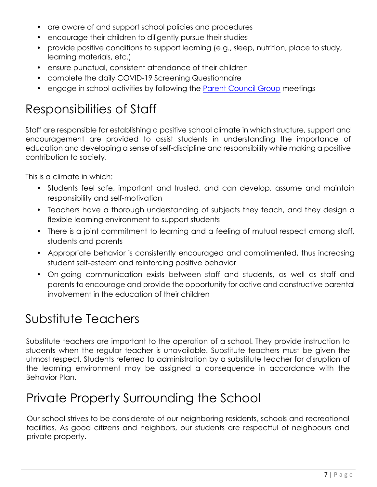- are aware of and support school policies and procedures
- encourage their children to diligently pursue their studies
- provide positive conditions to support learning (e.g., sleep, nutrition, place to study, learning materials, etc.)
- ensure punctual, consistent attendance of their children
- complete the daily COVID-19 Screening Questionnaire
- engage in school activities by following the [Parent Council Group](https://www.sherwoodheights.org/parents/parent-council) meetings

# Responsibilities of Staff

Staff are responsible for establishing a positive school climate in which structure, support and encouragement are provided to assist students in understanding the importance of education and developing a sense of self-discipline and responsibility while making a positive contribution to society.

This is a climate in which:

- Students feel safe, important and trusted, and can develop, assume and maintain responsibility and self-motivation
- Teachers have a thorough understanding of subjects they teach, and they design a flexible learning environment to support students
- There is a joint commitment to learning and a feeling of mutual respect among staff, students and parents
- Appropriate behavior is consistently encouraged and complimented, thus increasing student self-esteem and reinforcing positive behavior
- On-going communication exists between staff and students, as well as staff and parents to encourage and provide the opportunity for active and constructive parental involvement in the education of their children

# Substitute Teachers

Substitute teachers are important to the operation of a school. They provide instruction to students when the regular teacher is unavailable. Substitute teachers must be given the utmost respect. Students referred to administration by a substitute teacher for disruption of the learning environment may be assigned a consequence in accordance with the Behavior Plan.

# Private Property Surrounding the School

Our school strives to be considerate of our neighboring residents, schools and recreational facilities. As good citizens and neighbors, our students are respectful of neighbours and private property.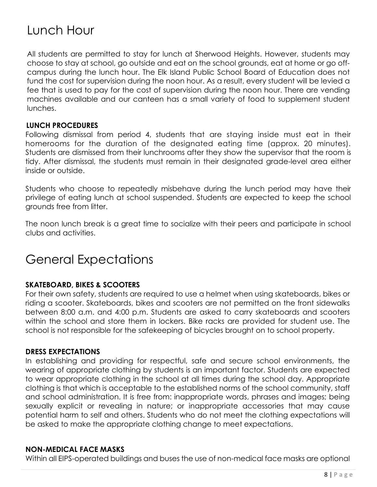# Lunch Hour

All students are permitted to stay for lunch at Sherwood Heights. However, students may choose to stay at school, go outside and eat on the school grounds, eat at home or go offcampus during the lunch hour. The Elk Island Public School Board of Education does not fund the cost for supervision during the noon hour. As a result, every student will be levied a fee that is used to pay for the cost of supervision during the noon hour. There are vending machines available and our canteen has a small variety of food to supplement student lunches.

### **LUNCH PROCEDURES**

Following dismissal from period 4, students that are staying inside must eat in their homerooms for the duration of the designated eating time (approx. 20 minutes). Students are dismissed from their lunchrooms after they show the supervisor that the room is tidy. After dismissal, the students must remain in their designated grade-level area either inside or outside.

Students who choose to repeatedly misbehave during the lunch period may have their privilege of eating lunch at school suspended. Students are expected to keep the school grounds free from litter.

The noon lunch break is a great time to socialize with their peers and participate in school clubs and activities.

# General Expectations

### **SKATEBOARD, BIKES & SCOOTERS**

For their own safety, students are required to use a helmet when using skateboards, bikes or riding a scooter. Skateboards, bikes and scooters are not permitted on the front sidewalks between 8:00 a.m. and 4:00 p.m. Students are asked to carry skateboards and scooters within the school and store them in lockers. Bike racks are provided for student use. The school is not responsible for the safekeeping of bicycles brought on to school property.

### **DRESS EXPECTATIONS**

In establishing and providing for respectful, safe and secure school environments, the wearing of appropriate clothing by students is an important factor. Students are expected to wear appropriate clothing in the school at all times during the school day. Appropriate clothing is that which is acceptable to the established norms of the school community, staff and school administration. It is free from: inappropriate words, phrases and images; being sexually explicit or revealing in nature; or inappropriate accessories that may cause potential harm to self and others. Students who do not meet the clothing expectations will be asked to make the appropriate clothing change to meet expectations.

### **NON-MEDICAL FACE MASKS**

Within all EIPS-operated buildings and buses the use of non-medical face masks are optional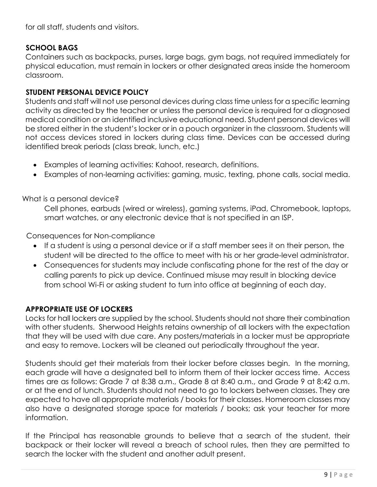for all staff, students and visitors.

### **SCHOOL BAGS**

Containers such as backpacks, purses, large bags, gym bags, not required immediately for physical education, must remain in lockers or other designated areas inside the homeroom classroom.

### **STUDENT PERSONAL DEVICE POLICY**

Students and staff will not use personal devices during class time unless for a specific learning activity as directed by the teacher or unless the personal device is required for a diagnosed medical condition or an identified inclusive educational need. Student personal devices will be stored either in the student's locker or in a pouch organizer in the classroom. Students will not access devices stored in lockers during class time. Devices can be accessed during identified break periods (class break, lunch, etc.)

- Examples of learning activities: Kahoot, research, definitions.
- Examples of non-learning activities: gaming, music, texting, phone calls, social media.

### What is a personal device?

Cell phones, earbuds (wired or wireless), gaming systems, iPad, Chromebook, laptops, smart watches, or any electronic device that is not specified in an ISP.

Consequences for Non-compliance

- If a student is using a personal device or if a staff member sees it on their person, the student will be directed to the office to meet with his or her grade-level administrator.
- Consequences for students may include confiscating phone for the rest of the day or calling parents to pick up device. Continued misuse may result in blocking device from school Wi-Fi or asking student to turn into office at beginning of each day.

### **APPROPRIATE USE OF LOCKERS**

Locks for hall lockers are supplied by the school. Students should not share their combination with other students. Sherwood Heights retains ownership of all lockers with the expectation that they will be used with due care. Any posters/materials in a locker must be appropriate and easy to remove. Lockers will be cleaned out periodically throughout the year.

Students should get their materials from their locker before classes begin. In the morning, each grade will have a designated bell to inform them of their locker access time. Access times are as follows: Grade 7 at 8:38 a.m., Grade 8 at 8:40 a.m., and Grade 9 at 8:42 a.m. or at the end of lunch. Students should not need to go to lockers between classes. They are expected to have all appropriate materials / books for their classes. Homeroom classes may also have a designated storage space for materials / books; ask your teacher for more information.

If the Principal has reasonable grounds to believe that a search of the student, their backpack or their locker will reveal a breach of school rules, then they are permitted to search the locker with the student and another adult present.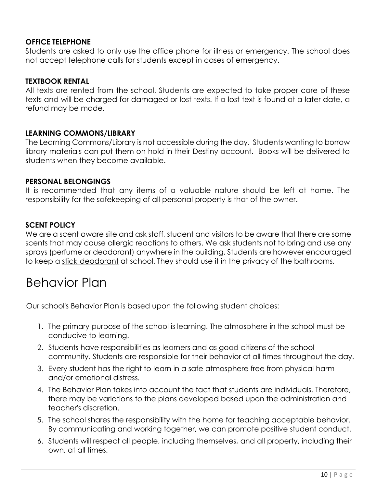### **OFFICE TELEPHONE**

Students are asked to only use the office phone for illness or emergency. The school does not accept telephone calls for students except in cases of emergency.

### **TEXTBOOK RENTAL**

All texts are rented from the school. Students are expected to take proper care of these texts and will be charged for damaged or lost texts. If a lost text is found at a later date, a refund may be made.

### **LEARNING COMMONS/LIBRARY**

The Learning Commons/Library is not accessible during the day. Students wanting to borrow library materials can put them on hold in their Destiny account. Books will be delivered to students when they become available.

### **PERSONAL BELONGINGS**

It is recommended that any items of a valuable nature should be left at home. The responsibility for the safekeeping of all personal property is that of the owner.

### **SCENT POLICY**

We are a scent aware site and ask staff, student and visitors to be aware that there are some scents that may cause allergic reactions to others. We ask students not to bring and use any sprays (perfume or deodorant) anywhere in the building. Students are however encouraged to keep a stick deodorant at school. They should use it in the privacy of the bathrooms.

# Behavior Plan

Our school's Behavior Plan is based upon the following student choices:

- 1. The primary purpose of the school is learning. The atmosphere in the school must be conducive to learning.
- 2. Students have responsibilities as learners and as good citizens of the school community. Students are responsible for their behavior at all times throughout the day.
- 3. Every student has the right to learn in a safe atmosphere free from physical harm and/or emotional distress.
- 4. The Behavior Plan takes into account the fact that students are individuals. Therefore, there may be variations to the plans developed based upon the administration and teacher's discretion.
- 5. The school shares the responsibility with the home for teaching acceptable behavior. By communicating and working together, we can promote positive student conduct.
- 6. Students will respect all people, including themselves, and all property, including their own, at all times.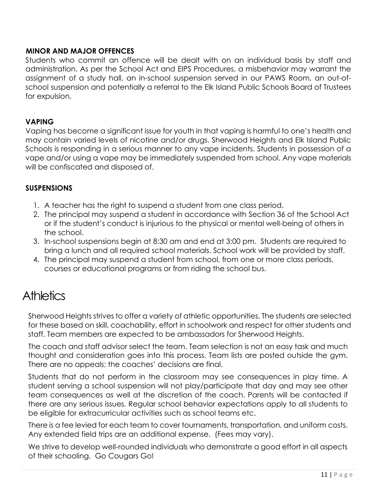### **MINOR AND MAJOR OFFENCES**

Students who commit an offence will be dealt with on an individual basis by staff and administration. As per the School Act and EIPS Procedures, a misbehavior may warrant the assignment of a study hall, an in-school suspension served in our PAWS Room, an out-ofschool suspension and potentially a referral to the Elk Island Public Schools Board of Trustees for expulsion.

### **VAPING**

Vaping has become a significant issue for youth in that vaping is harmful to one's health and may contain varied levels of nicotine and/or drugs. Sherwood Heights and Elk Island Public Schools is responding in a serious manner to any vape incidents. Students in possession of a vape and/or using a vape may be immediately suspended from school. Any vape materials will be confiscated and disposed of.

### **SUSPENSIONS**

- 1. A teacher has the right to suspend a student from one class period.
- 2. The principal may suspend a student in accordance with Section 36 of the School Act or if the student's conduct is injurious to the physical or mental well-being of others in the school.
- 3. In-school suspensions begin at 8:30 am and end at 3:00 pm. Students are required to bring a lunch and all required school materials. School work will be provided by staff.
- 4. The principal may suspend a student from school, from one or more class periods, courses or educational programs or from riding the school bus.

# **Athletics**

Sherwood Heights strives to offer a variety of athletic opportunities. The students are selected for these based on skill, coachability, effort in schoolwork and respect for other students and staff. Team members are expected to be ambassadors for Sherwood Heights.

The coach and staff advisor select the team. Team selection is not an easy task and much thought and consideration goes into this process. Team lists are posted outside the gym. There are no appeals; the coaches' decisions are final.

Students that do not perform in the classroom may see consequences in play time. A student serving a school suspension will not play/participate that day and may see other team consequences as well at the discretion of the coach. Parents will be contacted if there are any serious issues. Regular school behavior expectations apply to all students to be eligible for extracurricular activities such as school teams etc.

There is a fee levied for each team to cover tournaments, transportation, and uniform costs. Any extended field trips are an additional expense. (Fees may vary).

We strive to develop well-rounded individuals who demonstrate a good effort in all aspects of their schooling. Go Cougars Go!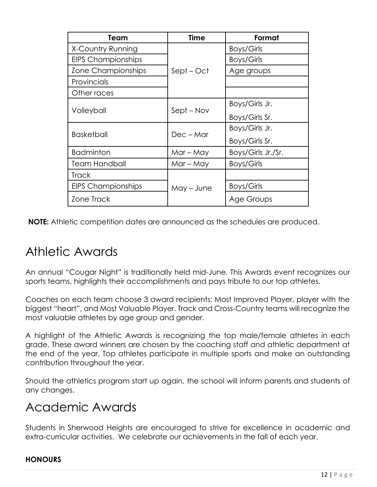| Team                      | <b>Time</b> | Format             |
|---------------------------|-------------|--------------------|
| X-Country Running         | Sept – Oct  | Boys/Girls         |
| <b>EIPS Championships</b> |             | Boys/Girls         |
| Zone Championships        |             | Age groups         |
| Provincials               |             |                    |
| Other races               |             |                    |
| Volleyball                | Sept – Nov  | Boys/Girls Jr.     |
|                           |             | Boys/Girls Sr.     |
| <b>Basketball</b>         | $Dec - Mar$ | Boys/Girls Jr.     |
|                           |             | Boys/Girls Sr.     |
| <b>Badminton</b>          | $Mar - May$ | Boys/Girls Jr./Sr. |
| Team Handball             | $Mar - May$ | Boys/Girls         |
| <b>Track</b>              | May – June  |                    |
| <b>EIPS Championships</b> |             | Boys/Girls         |
| Zone Track                |             | Age Groups         |

**NOTE:** Athletic competition dates are announced as the schedules are produced.

# Athletic Awards

An annual "Cougar Night" is traditionally held mid-June. This Awards event recognizes our sports teams, highlights their accomplishments and pays tribute to our top athletes.

Coaches on each team choose 3 award recipients: Most Improved Player, player with the biggest "heart", and Most Valuable Player. Track and Cross-Country teams will recognize the most valuable athletes by age group and gender.

A highlight of the Athletic Awards is recognizing the top male/female athletes in each grade. These award winners are chosen by the coaching staff and athletic department at the end of the year. Top athletes participate in multiple sports and make an outstanding contribution throughout the year.

Should the athletics program start up again, the school will inform parents and students of any changes.

# Academic Awards

Students in Sherwood Heights are encouraged to strive for excellence in academic and extra-curricular activities. We celebrate our achievements in the fall of each year.

### **HONOURS**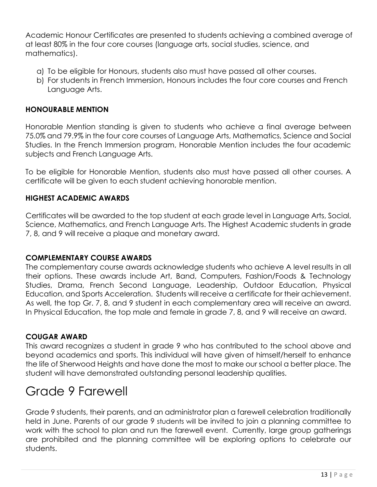Academic Honour Certificates are presented to students achieving a combined average of at least 80% in the four core courses (language arts, social studies, science, and mathematics).

- a) To be eligible for Honours, students also must have passed all other courses.
- b) For students in French Immersion, Honours includes the four core courses and French Language Arts.

### **HONOURABLE MENTION**

Honorable Mention standing is given to students who achieve a final average between 75.0% and 79.9% in the four core courses of Language Arts, Mathematics, Science and Social Studies. In the French Immersion program, Honorable Mention includes the four academic subjects and French Language Arts.

To be eligible for Honorable Mention, students also must have passed all other courses. A certificate will be given to each student achieving honorable mention.

### **HIGHEST ACADEMIC AWARDS**

Certificates will be awarded to the top student at each grade level in Language Arts, Social, Science, Mathematics, and French Language Arts. The Highest Academic students in grade 7, 8, and 9 will receive a plaque and monetary award.

### **COMPLEMENTARY COURSE AWARDS**

The complementary course awards acknowledge students who achieve A level results in all their options. These awards include Art, Band, Computers, Fashion/Foods & Technology Studies, Drama, French Second Language, Leadership, Outdoor Education, Physical Education, and Sports Acceleration. Students will receive a certificate for their achievement. As well, the top Gr. 7, 8, and 9 student in each complementary area will receive an award. In Physical Education, the top male and female in grade 7, 8, and 9 will receive an award.

### **COUGAR AWARD**

This award recognizes a student in grade 9 who has contributed to the school above and beyond academics and sports. This individual will have given of himself/herself to enhance the life of Sherwood Heights and have done the most to make our school a better place. The student will have demonstrated outstanding personal leadership qualities.

# Grade 9 Farewell

Grade 9 students, their parents, and an administrator plan a farewell celebration traditionally held in June. Parents of our grade 9 students will be invited to join a planning committee to work with the school to plan and run the farewell event. Currently, large group gatherings are prohibited and the planning committee will be exploring options to celebrate our students.